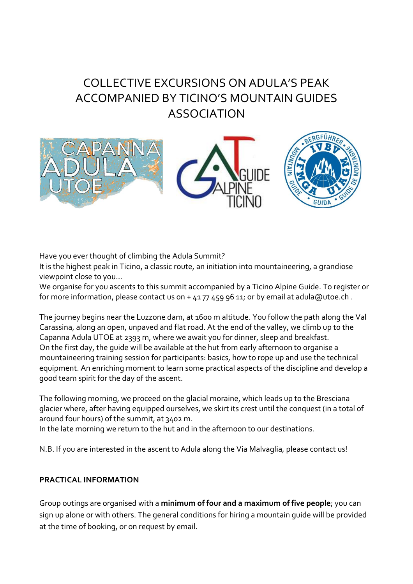## COLLECTIVE EXCURSIONS ON ADULA'S PEAK ACCOMPANIED BY TICINO'S MOUNTAIN GUIDES ASSOCIATION



Have you ever thought of climbing the Adula Summit?

It is the highest peak in Ticino, a classic route, an initiation into mountaineering, a grandiose viewpoint close to you...

We organise for you ascents to this summit accompanied by a Ticino Alpine Guide. To register or for more information, please contact us on + 41 77 459 96 11; or by email at adula@utoe.ch .

The journey begins near the Luzzone dam, at 1600 m altitude. You follow the path along the Val Carassina, along an open, unpaved and flat road. At the end of the valley, we climb up to the Capanna Adula UTOE at 2393 m, where we await you for dinner, sleep and breakfast. On the first day, the guide will be available at the hut from early afternoon to organise a mountaineering training session for participants: basics, how to rope up and use the technical equipment. An enriching moment to learn some practical aspects of the discipline and develop a good team spirit for the day of the ascent.

The following morning, we proceed on the glacial moraine, which leads up to the Bresciana glacier where, after having equipped ourselves, we skirt its crest until the conquest (in a total of around four hours) of the summit, at 3402 m.

In the late morning we return to the hut and in the afternoon to our destinations.

N.B. If you are interested in the ascent to Adula along the Via Malvaglia, please contact us!

## **PRACTICAL INFORMATION**

Group outings are organised with a **minimum of four and a maximum of five people**; you can sign up alone or with others. The general conditions for hiring a mountain guide will be provided at the time of booking, or on request by email.